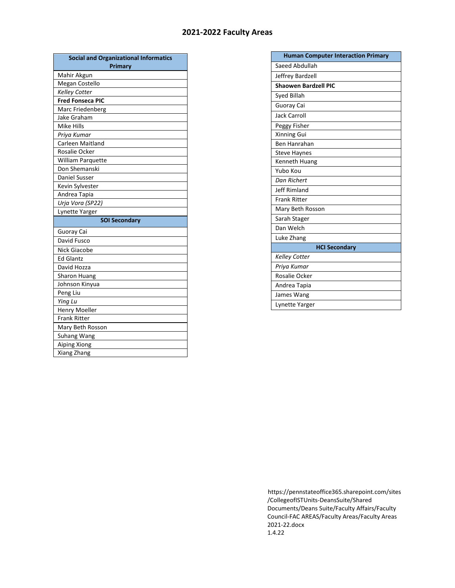## **2021-2022 Faculty Areas**

| <b>Social and Organizational Informatics</b> |
|----------------------------------------------|
| <b>Primary</b>                               |
| Mahir Akgun                                  |
| Megan Costello                               |
| Kelley Cotter                                |
| <b>Fred Fonseca PIC</b>                      |
| Marc Friedenberg                             |
| Jake Graham                                  |
| Mike Hills                                   |
| Priya Kumar                                  |
| Carleen Maitland                             |
| Rosalie Ocker                                |
| <b>William Parquette</b>                     |
| Don Shemanski                                |
| <b>Daniel Susser</b>                         |
| Kevin Sylvester                              |
| Andrea Tapia                                 |
| Urja Vora (SP22)                             |
| Lynette Yarger                               |
| <b>SOI Secondary</b>                         |
| Guoray Cai                                   |
| David Fusco                                  |
| <b>Nick Giacobe</b>                          |
| <b>Ed Glantz</b>                             |
| David Hozza                                  |
| <b>Sharon Huang</b>                          |
| Johnson Kinyua                               |
| Peng Liu                                     |
| Ying Lu                                      |
| Henry Moeller                                |
| <b>Frank Ritter</b>                          |
| Mary Beth Rosson                             |
| Suhang Wang                                  |
| Aiping Xiong                                 |
| Xiang Zhang                                  |

| <b>Human Computer Interaction Primary</b> |
|-------------------------------------------|
| Saeed Abdullah                            |
| Jeffrey Bardzell                          |
| <b>Shaowen Bardzell PIC</b>               |
| Syed Billah                               |
| Guoray Cai                                |
| <b>Jack Carroll</b>                       |
| Peggy Fisher                              |
| Xinning Gui                               |
| Ben Hanrahan                              |
| <b>Steve Haynes</b>                       |
| Kenneth Huang                             |
| Yubo Kou                                  |
| Dan Richert                               |
| <b>Jeff Rimland</b>                       |
| <b>Frank Ritter</b>                       |
| Mary Beth Rosson                          |
| Sarah Stager                              |
| Dan Welch                                 |
| Luke Zhang                                |
| <b>HCI Secondary</b>                      |
| <b>Kelley Cotter</b>                      |
| Priya Kumar                               |
| Rosalie Ocker                             |
| Andrea Tapia                              |
| James Wang                                |
| Lynette Yarger                            |

https://pennstateoffice365.sharepoint.com/sites /CollegeofISTUnits-DeansSuite/Shared Documents/Deans Suite/Faculty Affairs/Faculty Council-FAC AREAS/Faculty Areas/Faculty Areas 2021-22.docx 1.4.22